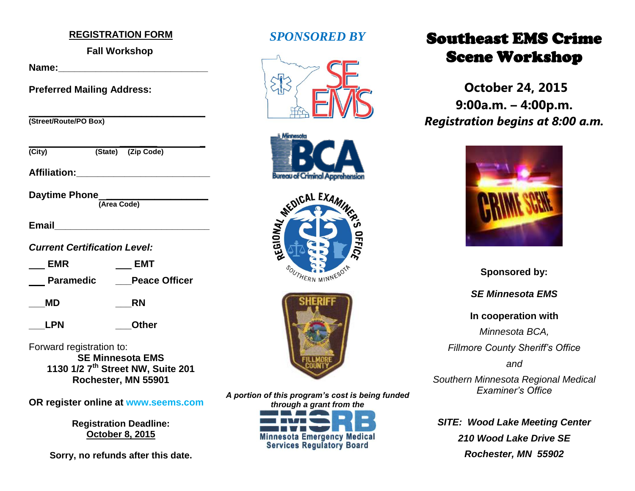### **REGISTRATION FORM**

## **Fall Workshop**

Name:

**Preferred Mailing Address:**

| (Street/Route/PO Box) |  |  |
|-----------------------|--|--|

| (City)               |             | (State) (Zip Code) |  |
|----------------------|-------------|--------------------|--|
| <b>Affiliation:</b>  |             |                    |  |
| <b>Daytime Phone</b> | (Area Code) |                    |  |

| <b>Email</b> |  |  |
|--------------|--|--|
|              |  |  |

*Current Certification Level:* 

| <b>EMR</b>       | <b>EMT</b>           |
|------------------|----------------------|
| <b>Paramedic</b> | <b>Peace Officer</b> |

**\_\_\_MD \_\_\_RN**

**\_\_\_LPN \_\_\_Other**

Forward registration to:

**SE Minnesota EMS 1130 1/2 7th Street NW, Suite 201 Rochester, MN 55901**

**OR register online at www.seems.com**

**Registration Deadline: October 8, 2015**

**Sorry, no refunds after this date.**

# *SPONSORED BY*









*A portion of this program's cost is being funded through a grant from the*  **Minnesota Emergency Medical<br>Services Regulatory Board** 

# Southeast EMS Crime Scene Workshop

**October 24, 2015 9:00a.m. – 4:00p.m.** *Registration begins at 8:00 a.m.*



**Sponsored by:** *SE Minnesota EMS* **In cooperation with** *Minnesota BCA, Fillmore County Sheriff's Office and Southern Minnesota Regional Medical Examiner's Office*

*SITE: Wood Lake Meeting Center 210 Wood Lake Drive SE Rochester, MN 55902*